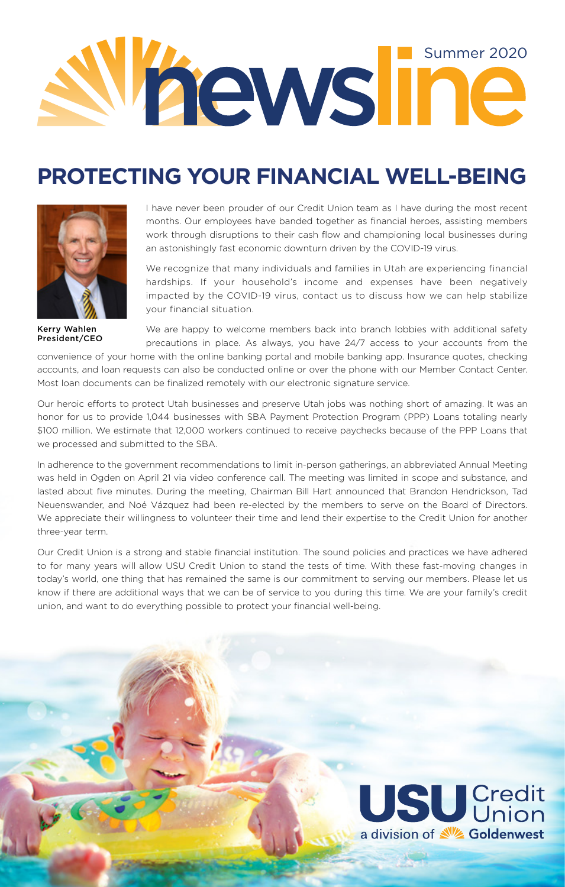

## **PROTECTING YOUR FINANCIAL WELL-BEING**



Kerry Wahlen President/CEO

I have never been prouder of our Credit Union team as I have during the most recent months. Our employees have banded together as financial heroes, assisting members work through disruptions to their cash flow and championing local businesses during an astonishingly fast economic downturn driven by the COVID-19 virus.

We recognize that many individuals and families in Utah are experiencing financial hardships. If your household's income and expenses have been negatively impacted by the COVID-19 virus, contact us to discuss how we can help stabilize your financial situation.

We are happy to welcome members back into branch lobbies with additional safety precautions in place. As always, you have 24/7 access to your accounts from the

convenience of your home with the online banking portal and mobile banking app. Insurance quotes, checking accounts, and loan requests can also be conducted online or over the phone with our Member Contact Center. Most loan documents can be finalized remotely with our electronic signature service.

Our heroic efforts to protect Utah businesses and preserve Utah jobs was nothing short of amazing. It was an honor for us to provide 1,044 businesses with SBA Payment Protection Program (PPP) Loans totaling nearly \$100 million. We estimate that 12,000 workers continued to receive paychecks because of the PPP Loans that we processed and submitted to the SBA.

In adherence to the government recommendations to limit in-person gatherings, an abbreviated Annual Meeting was held in Ogden on April 21 via video conference call. The meeting was limited in scope and substance, and lasted about five minutes. During the meeting, Chairman Bill Hart announced that Brandon Hendrickson, Tad Neuenswander, and Noé Vázquez had been re-elected by the members to serve on the Board of Directors. We appreciate their willingness to volunteer their time and lend their expertise to the Credit Union for another three-year term.

Our Credit Union is a strong and stable financial institution. The sound policies and practices we have adhered to for many years will allow USU Credit Union to stand the tests of time. With these fast-moving changes in today's world, one thing that has remained the same is our commitment to serving our members. Please let us know if there are additional ways that we can be of service to you during this time. We are your family's credit union, and want to do everything possible to protect your financial well-being.

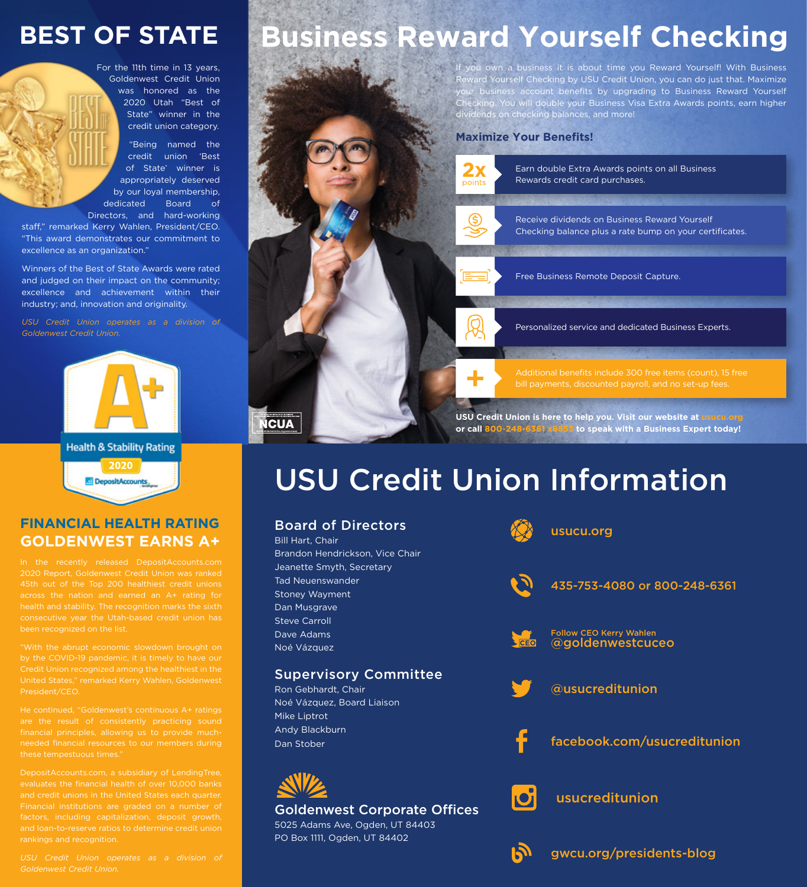# **BEST OF STATE**

For the 11th time in 13 years, Goldenwest Credit Union was honored as the 2020 Utah "Best of State" winner in the credit union category.

"Being named the credit union 'Best of State' winner is appropriately deserved by our loyal membership, dedicated Board of

Directors, and hard-working staff," remarked Kerry Wahlen, President/CEO. "This award demonstrates our commitment to excellence as an organization."

Winners of the Best of State Awards were rated and judged on their impact on the community; excellence and achievement within their industry; and, innovation and originality.

*USU Credit Union operates as a division of* 



**ICUA** 

**Health & Stability Rating 2020**DepositAccounts

## **FINANCIAL HEALTH RATING GOLDENWEST EARNS A+**

2020 Report, Goldenwest Credit Union was ranked across the nation and earned an A+ rating for health and stability. The recognition marks the sixth

"With the abrupt economic slowdown brought on Credit Union recognized among the healthiest in the United States," remarked Kerry Wahlen, Goldenwest President/CEO

He continued, "Goldenwest's continuous A+ ratings needed financial resources to our members during these tempestuous times."

DepositAccounts.com, a subsidiary of LendingTree, evaluates the financial health of over 10,000 banks rankings and recognition.

## *USU Credit Union operates as a division of*

# **Business Reward Yourself Checking**

own a business it is about time you Reward Yourself! With Business Reward Yourself Checking by USU Credit Union, you can do just that. Maximize our business account benefits by upgrading to Business Reward Yourself king. You will double your Business Visa Extra Awards points, earn higher dividends on checking balances, and more!

#### **Maximize Your Benefits!**



Earn double Extra Awards points on all Business Rewards credit card purchases.



Receive dividends on Business Reward Yourself Checking balance plus a rate bump on your certificates.

Free Business Remote Deposit Capture.

Personalized service and dedicated Business Experts.

Additional benefits include 300 free items (count), 15 free bill payments, discounted payroll, and no set-up fees.

**USU Credit Union is here to help you. Visit our website at usucu.org or call 800-248-6361 x8853 to speak with a Business Expert today!**

# USU Credit Union Information

| <b>Board of Directors</b><br><b>Bill Hart, Chair</b><br>Brandon Hendrickson, Vice Chair           |          | usucu.org                                          |
|---------------------------------------------------------------------------------------------------|----------|----------------------------------------------------|
| Jeanette Smyth, Secretary<br><b>Tad Neuenswander</b><br><b>Stoney Wayment</b><br>Dan Musgrave     |          | 435-753-4080 or 800-248-6361                       |
| <b>Steve Carroll</b><br>Dave Adams<br>Noé Vázquez                                                 | $E$ CEO  | <b>Follow CEO Kerry Wahlen</b><br>@goldenwestcuceo |
| <b>Supervisory Committee</b><br>Ron Gebhardt, Chair<br>Noé Vázquez, Board Liaison<br>Mike Liptrot |          | @usucreditunion                                    |
| Andy Blackburn<br>Dan Stober                                                                      |          | facebook.com/usucreditunion                        |
| <b>Goldenwest Corporate Offices</b><br>5025 Adams Ave, Ogden, UT 84403                            | <b>O</b> | usucreditunion                                     |
| PO Box 1111, Ogden, UT 84402                                                                      |          | gwcu.org/presidents-blog                           |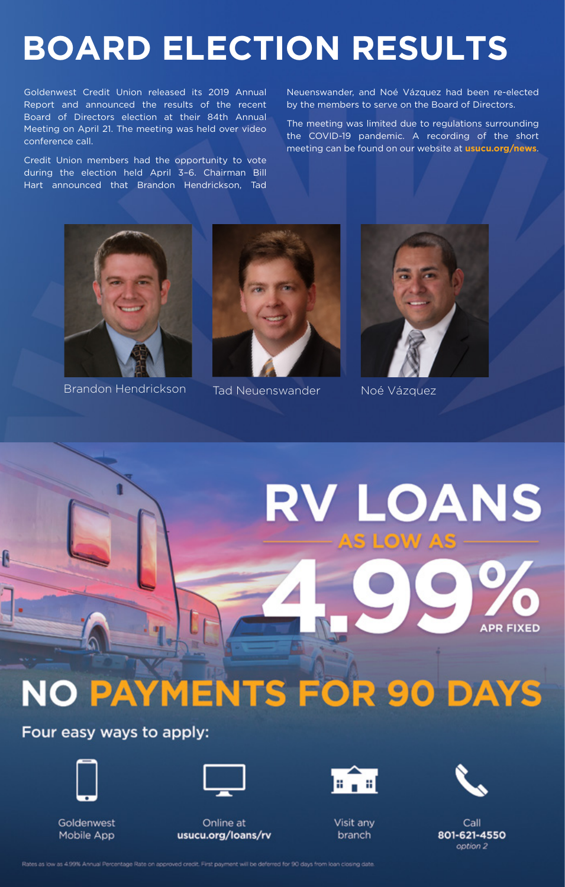# **BOARD ELECTION RESULTS**

Goldenwest Credit Union released its 2019 Annual Report and announced the results of the recent Board of Directors election at their 84th Annual Meeting on April 21. The meeting was held over video conference call.

Credit Union members had the opportunity to vote during the election held April 3–6. Chairman Bill Hart announced that Brandon Hendrickson, Tad Neuenswander, and Noé Vázquez had been re-elected by the members to serve on the Board of Directors.

The meeting was limited due to regulations surrounding the COVID-19 pandemic. A recording of the short meeting can be found on our website at **usucu.org/news**.



Brandon Hendrickson Tad Neuenswander Noé Vázquez





**V LOANS** 

# 5 LO) **APR FIXED NO PAYMENTS FOR 90 DAYS**

## Four easy ways to apply:



Goldenwest Mobile App



Online at usucu.org/loans/rv Visit any branch

 $\mathbb{E}[\mathbf{u}]$ 



Call. 801-621-4550 option 2

Rates as low as 4.99% Annual Percentage Rate on approved credit. First payment will be deferred for 90 days from loan closing date.